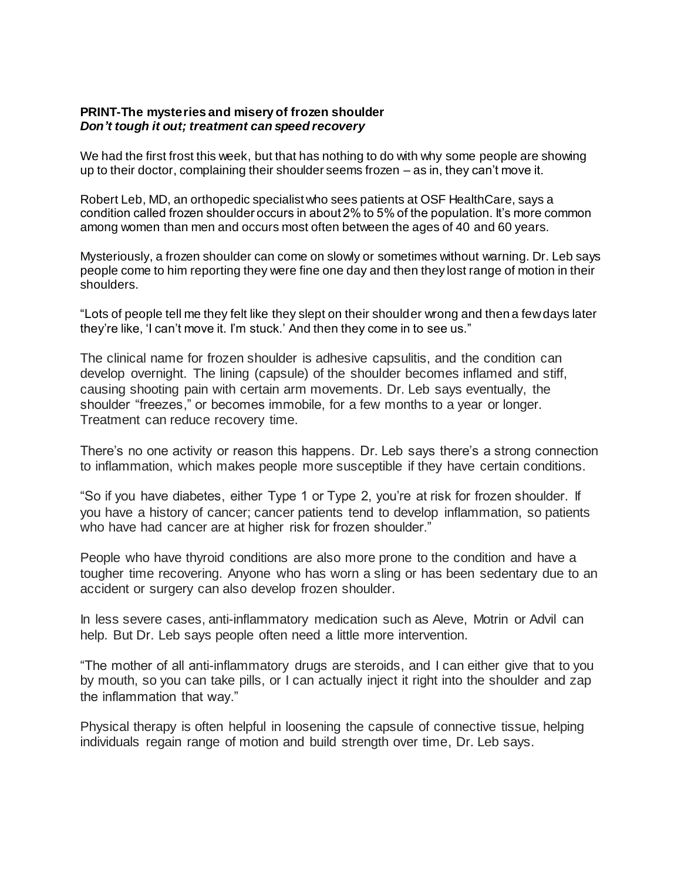## **PRINT-The mysteries and misery of frozen shoulder** *Don't tough it out; treatment can speed recovery*

We had the first frost this week, but that has nothing to do with why some people are showing up to their doctor, complaining their shoulder seems frozen – as in, they can't move it.

Robert Leb, MD, an orthopedic specialist who sees patients at OSF HealthCare, says a condition called frozen shoulder occurs in about 2% to 5% of the population. It's more common among women than men and occurs most often between the ages of 40 and 60 years.

Mysteriously, a frozen shoulder can come on slowly or sometimes without warning. Dr. Leb says people come to him reporting they were fine one day and then they lost range of motion in their shoulders.

"Lots of people tell me they felt like they slept on their shoulder wrong and then a few days later they're like, 'I can't move it. I'm stuck.' And then they come in to see us."

The clinical name for frozen shoulder is adhesive capsulitis, and the condition can develop overnight. The lining (capsule) of the shoulder becomes inflamed and stiff, causing shooting pain with certain arm movements. Dr. Leb says eventually, the shoulder "freezes," or becomes immobile, for a few months to a year or longer. Treatment can reduce recovery time.

There's no one activity or reason this happens. Dr. Leb says there's a strong connection to inflammation, which makes people more susceptible if they have certain conditions.

"So if you have diabetes, either Type 1 or Type 2, you're at risk for frozen shoulder. If you have a history of cancer; cancer patients tend to develop inflammation, so patients who have had cancer are at higher risk for frozen shoulder."

People who have thyroid conditions are also more prone to the condition and have a tougher time recovering. Anyone who has worn a sling or has been sedentary due to an accident or surgery can also develop frozen shoulder.

In less severe cases, anti-inflammatory medication such as Aleve, Motrin or Advil can help. But Dr. Leb says people often need a little more intervention.

"The mother of all anti-inflammatory drugs are steroids, and I can either give that to you by mouth, so you can take pills, or I can actually inject it right into the shoulder and zap the inflammation that way."

Physical therapy is often helpful in loosening the capsule of connective tissue, helping individuals regain range of motion and build strength over time, Dr. Leb says.